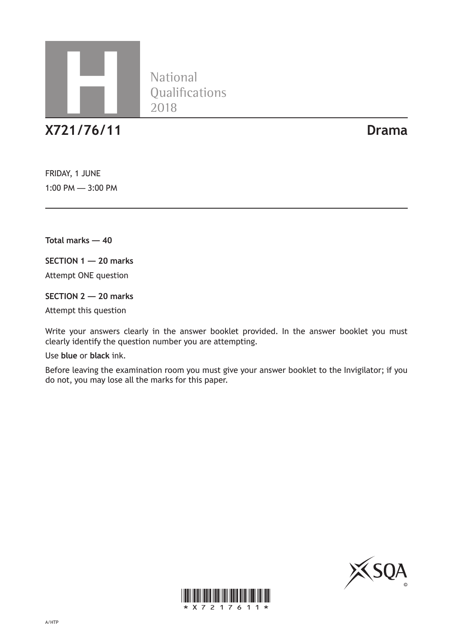

National<br>Qualifications

**X721/76/11 Drama**

FRIDAY, 1 JUNE 1:00 PM — 3:00 PM

**Total marks — 40**

**SECTION 1 — 20 marks**

Attempt ONE question

**SECTION 2 — 20 marks**

Attempt this question

Write your answers clearly in the answer booklet provided. In the answer booklet you must clearly identify the question number you are attempting.

Use **blue** or **black** ink.

Before leaving the examination room you must give your answer booklet to the Invigilator; if you do not, you may lose all the marks for this paper.



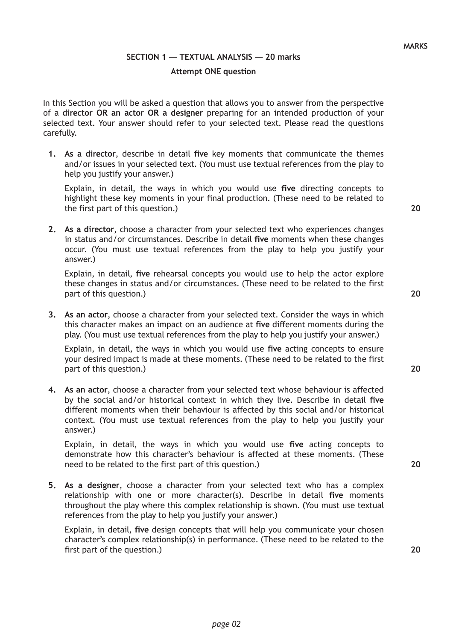#### **MARKS**

#### **SECTION 1 — TEXTUAL ANALYSIS — 20 marks**

### **Attempt ONE question**

In this Section you will be asked a question that allows you to answer from the perspective of a **director OR an actor OR a designer** preparing for an intended production of your selected text. Your answer should refer to your selected text. Please read the questions carefully.

**1. As a director**, describe in detail **five** key moments that communicate the themes and/or issues in your selected text. (You must use textual references from the play to help you justify your answer.)

Explain, in detail, the ways in which you would use **five** directing concepts to highlight these key moments in your final production. (These need to be related to the first part of this question.)

**2. As a director**, choose a character from your selected text who experiences changes in status and/or circumstances. Describe in detail **five** moments when these changes occur. (You must use textual references from the play to help you justify your answer.)

Explain, in detail, **five** rehearsal concepts you would use to help the actor explore these changes in status and/or circumstances. (These need to be related to the first part of this question.)

**3. As an actor**, choose a character from your selected text. Consider the ways in which this character makes an impact on an audience at **five** different moments during the play. (You must use textual references from the play to help you justify your answer.)

Explain, in detail, the ways in which you would use **five** acting concepts to ensure your desired impact is made at these moments. (These need to be related to the first part of this question.)

**4. As an actor**, choose a character from your selected text whose behaviour is affected by the social and/or historical context in which they live. Describe in detail **five** different moments when their behaviour is affected by this social and/or historical context. (You must use textual references from the play to help you justify your answer.)

Explain, in detail, the ways in which you would use **five** acting concepts to demonstrate how this character's behaviour is affected at these moments. (These need to be related to the first part of this question.)

**5. As a designer**, choose a character from your selected text who has a complex relationship with one or more character(s). Describe in detail **five** moments throughout the play where this complex relationship is shown. (You must use textual references from the play to help you justify your answer.)

Explain, in detail, **five** design concepts that will help you communicate your chosen character's complex relationship(s) in performance. (These need to be related to the first part of the question.)

**20**

**20**

**20**

**20**

**20**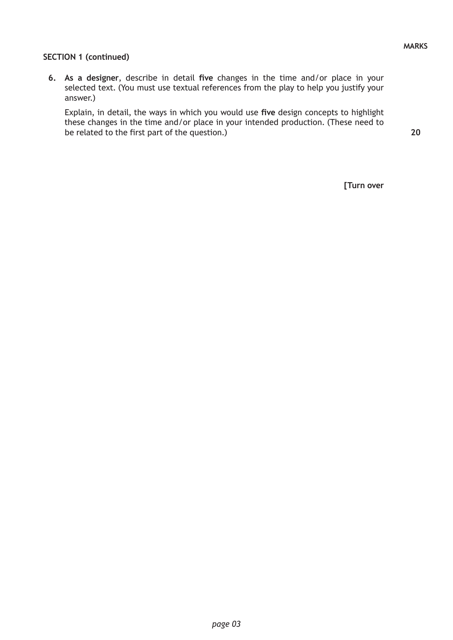**20**

### **SECTION 1 (continued)**

**6. As a designer**, describe in detail **five** changes in the time and/or place in your selected text. (You must use textual references from the play to help you justify your answer.)

Explain, in detail, the ways in which you would use **five** design concepts to highlight these changes in the time and/or place in your intended production. (These need to be related to the first part of the question.)

**[Turn over**